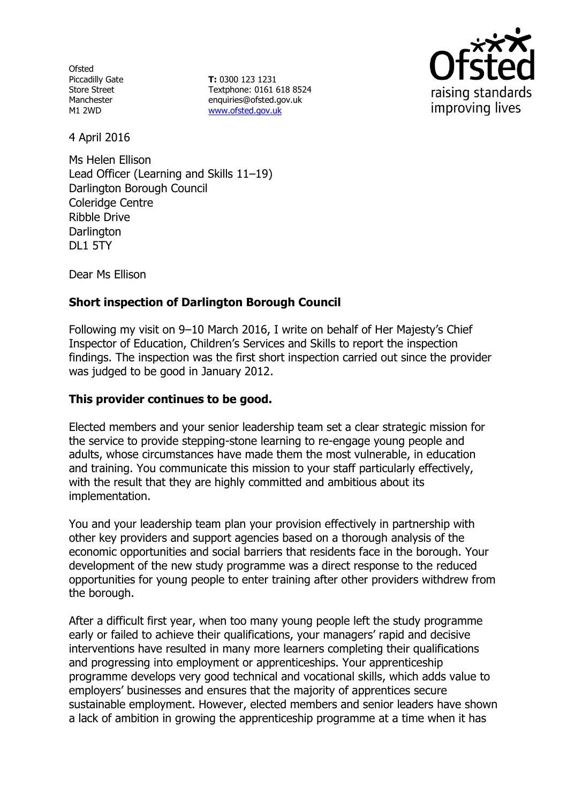**Ofsted** Piccadilly Gate Store Street Manchester M1 2WD

**T:** 0300 123 1231 Textphone: 0161 618 8524 enquiries@ofsted.gov.uk www.ofsted.gov.uk



4 April 2016

Ms Helen Ellison Lead Officer (Learning and Skills 11–19) Darlington Borough Council Coleridge Centre Ribble Drive **Darlington** DL1 5TY

Dear Ms Ellison

# **Short inspection of Darlington Borough Council**

Following my visit on 9–10 March 2016, I write on behalf of Her Majesty's Chief Inspector of Education, Children's Services and Skills to report the inspection findings. The inspection was the first short inspection carried out since the provider was judged to be good in January 2012.

# **This provider continues to be good.**

Elected members and your senior leadership team set a clear strategic mission for the service to provide stepping-stone learning to re-engage young people and adults, whose circumstances have made them the most vulnerable, in education and training. You communicate this mission to your staff particularly effectively, with the result that they are highly committed and ambitious about its implementation.

You and your leadership team plan your provision effectively in partnership with other key providers and support agencies based on a thorough analysis of the economic opportunities and social barriers that residents face in the borough. Your development of the new study programme was a direct response to the reduced opportunities for young people to enter training after other providers withdrew from the borough.

After a difficult first year, when too many young people left the study programme early or failed to achieve their qualifications, your managers' rapid and decisive interventions have resulted in many more learners completing their qualifications and progressing into employment or apprenticeships. Your apprenticeship programme develops very good technical and vocational skills, which adds value to employers' businesses and ensures that the majority of apprentices secure sustainable employment. However, elected members and senior leaders have shown a lack of ambition in growing the apprenticeship programme at a time when it has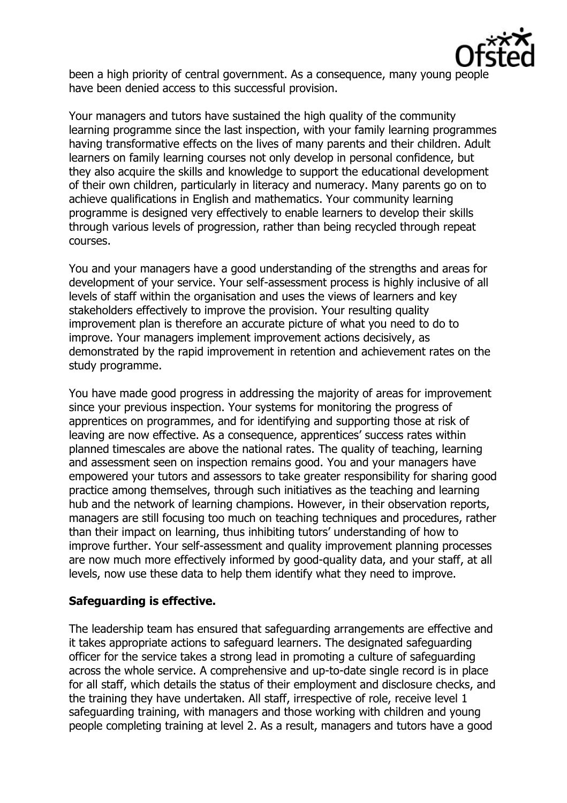

been a high priority of central government. As a consequence, many young people have been denied access to this successful provision.

Your managers and tutors have sustained the high quality of the community learning programme since the last inspection, with your family learning programmes having transformative effects on the lives of many parents and their children. Adult learners on family learning courses not only develop in personal confidence, but they also acquire the skills and knowledge to support the educational development of their own children, particularly in literacy and numeracy. Many parents go on to achieve qualifications in English and mathematics. Your community learning programme is designed very effectively to enable learners to develop their skills through various levels of progression, rather than being recycled through repeat courses.

You and your managers have a good understanding of the strengths and areas for development of your service. Your self-assessment process is highly inclusive of all levels of staff within the organisation and uses the views of learners and key stakeholders effectively to improve the provision. Your resulting quality improvement plan is therefore an accurate picture of what you need to do to improve. Your managers implement improvement actions decisively, as demonstrated by the rapid improvement in retention and achievement rates on the study programme.

You have made good progress in addressing the majority of areas for improvement since your previous inspection. Your systems for monitoring the progress of apprentices on programmes, and for identifying and supporting those at risk of leaving are now effective. As a consequence, apprentices' success rates within planned timescales are above the national rates. The quality of teaching, learning and assessment seen on inspection remains good. You and your managers have empowered your tutors and assessors to take greater responsibility for sharing good practice among themselves, through such initiatives as the teaching and learning hub and the network of learning champions. However, in their observation reports, managers are still focusing too much on teaching techniques and procedures, rather than their impact on learning, thus inhibiting tutors' understanding of how to improve further. Your self-assessment and quality improvement planning processes are now much more effectively informed by good-quality data, and your staff, at all levels, now use these data to help them identify what they need to improve.

## **Safeguarding is effective.**

The leadership team has ensured that safeguarding arrangements are effective and it takes appropriate actions to safeguard learners. The designated safeguarding officer for the service takes a strong lead in promoting a culture of safeguarding across the whole service. A comprehensive and up-to-date single record is in place for all staff, which details the status of their employment and disclosure checks, and the training they have undertaken. All staff, irrespective of role, receive level 1 safeguarding training, with managers and those working with children and young people completing training at level 2. As a result, managers and tutors have a good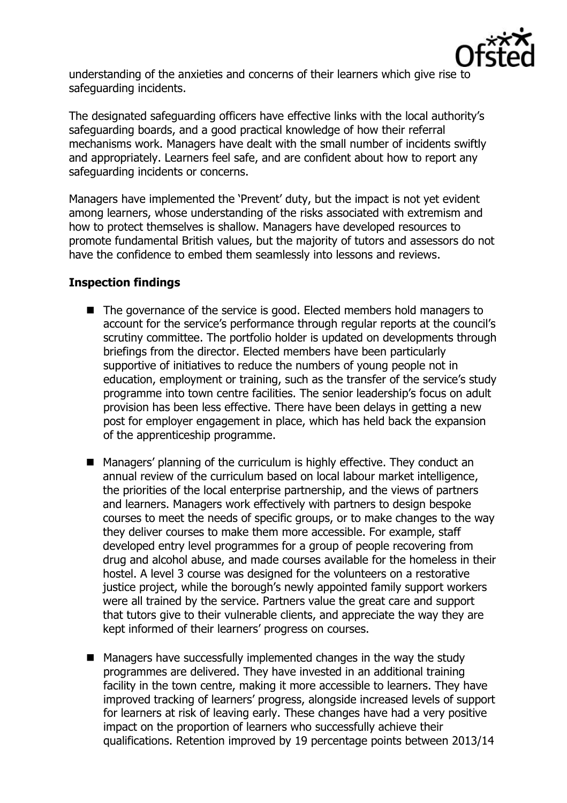

understanding of the anxieties and concerns of their learners which give rise to safeguarding incidents.

The designated safeguarding officers have effective links with the local authority's safeguarding boards, and a good practical knowledge of how their referral mechanisms work. Managers have dealt with the small number of incidents swiftly and appropriately. Learners feel safe, and are confident about how to report any safeguarding incidents or concerns.

Managers have implemented the 'Prevent' duty, but the impact is not yet evident among learners, whose understanding of the risks associated with extremism and how to protect themselves is shallow. Managers have developed resources to promote fundamental British values, but the majority of tutors and assessors do not have the confidence to embed them seamlessly into lessons and reviews.

# **Inspection findings**

- The governance of the service is good. Elected members hold managers to account for the service's performance through regular reports at the council's scrutiny committee. The portfolio holder is updated on developments through briefings from the director. Elected members have been particularly supportive of initiatives to reduce the numbers of young people not in education, employment or training, such as the transfer of the service's study programme into town centre facilities. The senior leadership's focus on adult provision has been less effective. There have been delays in getting a new post for employer engagement in place, which has held back the expansion of the apprenticeship programme.
- Managers' planning of the curriculum is highly effective. They conduct an annual review of the curriculum based on local labour market intelligence, the priorities of the local enterprise partnership, and the views of partners and learners. Managers work effectively with partners to design bespoke courses to meet the needs of specific groups, or to make changes to the way they deliver courses to make them more accessible. For example, staff developed entry level programmes for a group of people recovering from drug and alcohol abuse, and made courses available for the homeless in their hostel. A level 3 course was designed for the volunteers on a restorative justice project, while the borough's newly appointed family support workers were all trained by the service. Partners value the great care and support that tutors give to their vulnerable clients, and appreciate the way they are kept informed of their learners' progress on courses.
- Managers have successfully implemented changes in the way the study programmes are delivered. They have invested in an additional training facility in the town centre, making it more accessible to learners. They have improved tracking of learners' progress, alongside increased levels of support for learners at risk of leaving early. These changes have had a very positive impact on the proportion of learners who successfully achieve their qualifications. Retention improved by 19 percentage points between 2013/14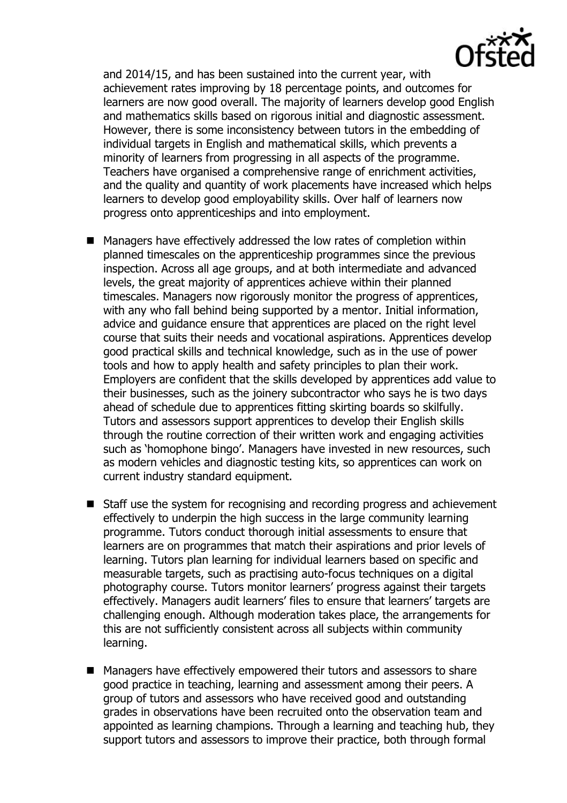

and 2014/15, and has been sustained into the current year, with achievement rates improving by 18 percentage points, and outcomes for learners are now good overall. The majority of learners develop good English and mathematics skills based on rigorous initial and diagnostic assessment. However, there is some inconsistency between tutors in the embedding of individual targets in English and mathematical skills, which prevents a minority of learners from progressing in all aspects of the programme. Teachers have organised a comprehensive range of enrichment activities, and the quality and quantity of work placements have increased which helps learners to develop good employability skills. Over half of learners now progress onto apprenticeships and into employment.

- Managers have effectively addressed the low rates of completion within planned timescales on the apprenticeship programmes since the previous inspection. Across all age groups, and at both intermediate and advanced levels, the great majority of apprentices achieve within their planned timescales. Managers now rigorously monitor the progress of apprentices, with any who fall behind being supported by a mentor. Initial information, advice and guidance ensure that apprentices are placed on the right level course that suits their needs and vocational aspirations. Apprentices develop good practical skills and technical knowledge, such as in the use of power tools and how to apply health and safety principles to plan their work. Employers are confident that the skills developed by apprentices add value to their businesses, such as the joinery subcontractor who says he is two days ahead of schedule due to apprentices fitting skirting boards so skilfully. Tutors and assessors support apprentices to develop their English skills through the routine correction of their written work and engaging activities such as 'homophone bingo'. Managers have invested in new resources, such as modern vehicles and diagnostic testing kits, so apprentices can work on current industry standard equipment.
- Staff use the system for recognising and recording progress and achievement effectively to underpin the high success in the large community learning programme. Tutors conduct thorough initial assessments to ensure that learners are on programmes that match their aspirations and prior levels of learning. Tutors plan learning for individual learners based on specific and measurable targets, such as practising auto-focus techniques on a digital photography course. Tutors monitor learners' progress against their targets effectively. Managers audit learners' files to ensure that learners' targets are challenging enough. Although moderation takes place, the arrangements for this are not sufficiently consistent across all subjects within community learning.
- Managers have effectively empowered their tutors and assessors to share good practice in teaching, learning and assessment among their peers. A group of tutors and assessors who have received good and outstanding grades in observations have been recruited onto the observation team and appointed as learning champions. Through a learning and teaching hub, they support tutors and assessors to improve their practice, both through formal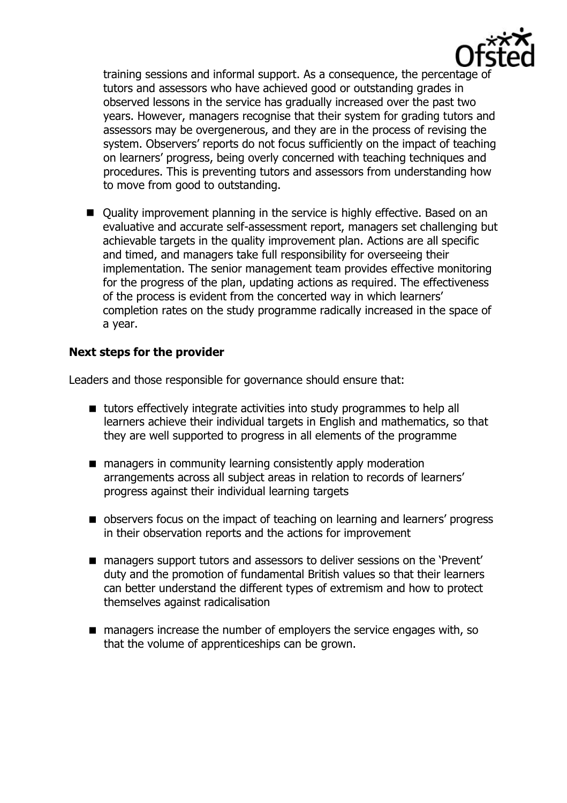

training sessions and informal support. As a consequence, the percentage of tutors and assessors who have achieved good or outstanding grades in observed lessons in the service has gradually increased over the past two years. However, managers recognise that their system for grading tutors and assessors may be overgenerous, and they are in the process of revising the system. Observers' reports do not focus sufficiently on the impact of teaching on learners' progress, being overly concerned with teaching techniques and procedures. This is preventing tutors and assessors from understanding how to move from good to outstanding.

■ Quality improvement planning in the service is highly effective. Based on an evaluative and accurate self-assessment report, managers set challenging but achievable targets in the quality improvement plan. Actions are all specific and timed, and managers take full responsibility for overseeing their implementation. The senior management team provides effective monitoring for the progress of the plan, updating actions as required. The effectiveness of the process is evident from the concerted way in which learners' completion rates on the study programme radically increased in the space of a year.

## **Next steps for the provider**

Leaders and those responsible for governance should ensure that:

- tutors effectively integrate activities into study programmes to help all learners achieve their individual targets in English and mathematics, so that they are well supported to progress in all elements of the programme
- managers in community learning consistently apply moderation arrangements across all subject areas in relation to records of learners' progress against their individual learning targets
- **DE** observers focus on the impact of teaching on learning and learners' progress in their observation reports and the actions for improvement
- managers support tutors and assessors to deliver sessions on the 'Prevent' duty and the promotion of fundamental British values so that their learners can better understand the different types of extremism and how to protect themselves against radicalisation
- **nanagers increase the number of employers the service engages with, so** that the volume of apprenticeships can be grown.